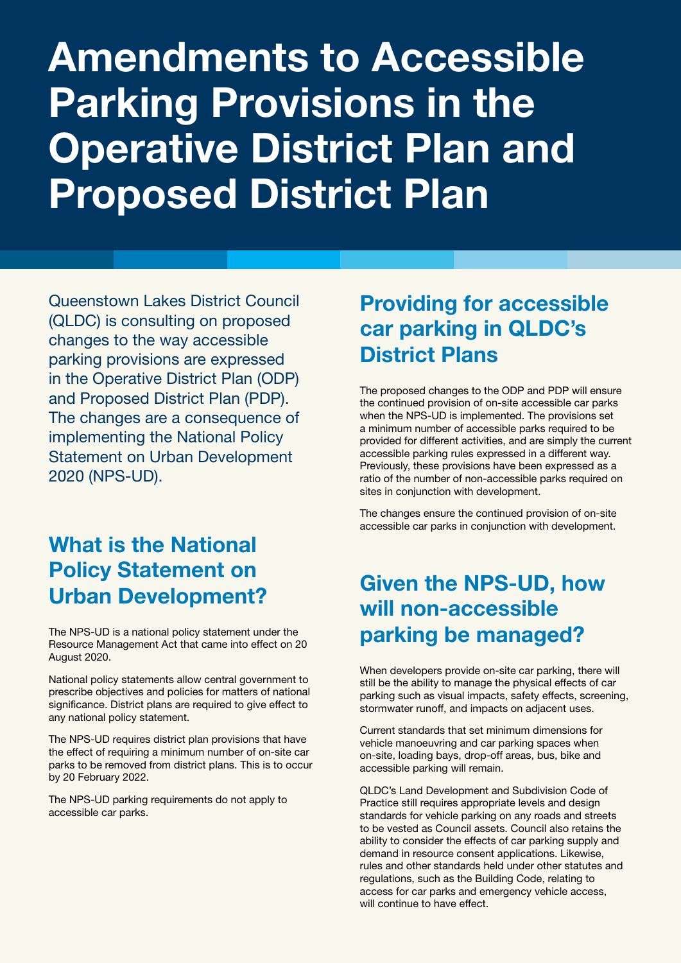# Amendments to Accessible Parking Provisions in the Operative District Plan and Proposed District Plan

Queenstown Lakes District Council (QLDC) is consulting on proposed changes to the way accessible parking provisions are expressed in the Operative District Plan (ODP) and Proposed District Plan (PDP). The changes are a consequence of implementing the National Policy Statement on Urban Development 2020 (NPS-UD).

#### What is the National Policy Statement on Urban Development?

The NPS-UD is a national policy statement under the Resource Management Act that came into effect on 20 August 2020.

National policy statements allow central government to prescribe objectives and policies for matters of national significance. District plans are required to give effect to any national policy statement.

The NPS-UD requires district plan provisions that have the effect of requiring a minimum number of on-site car parks to be removed from district plans. This is to occur by 20 February 2022.

The NPS-UD parking requirements do not apply to accessible car parks.

## Providing for accessible car parking in QLDC's District Plans

The proposed changes to the ODP and PDP will ensure the continued provision of on-site accessible car parks when the NPS-UD is implemented. The provisions set a minimum number of accessible parks required to be provided for different activities, and are simply the current accessible parking rules expressed in a different way. Previously, these provisions have been expressed as a ratio of the number of non-accessible parks required on sites in conjunction with development.

The changes ensure the continued provision of on-site accessible car parks in conjunction with development.

## Given the NPS-UD, how will non-accessible parking be managed?

When developers provide on-site car parking, there will still be the ability to manage the physical effects of car parking such as visual impacts, safety effects, screening, stormwater runoff, and impacts on adjacent uses.

Current standards that set minimum dimensions for vehicle manoeuvring and car parking spaces when on-site, loading bays, drop-off areas, bus, bike and accessible parking will remain.

QLDC's Land Development and Subdivision Code of Practice still requires appropriate levels and design standards for vehicle parking on any roads and streets to be vested as Council assets. Council also retains the ability to consider the effects of car parking supply and demand in resource consent applications. Likewise, rules and other standards held under other statutes and regulations, such as the Building Code, relating to access for car parks and emergency vehicle access, will continue to have effect.